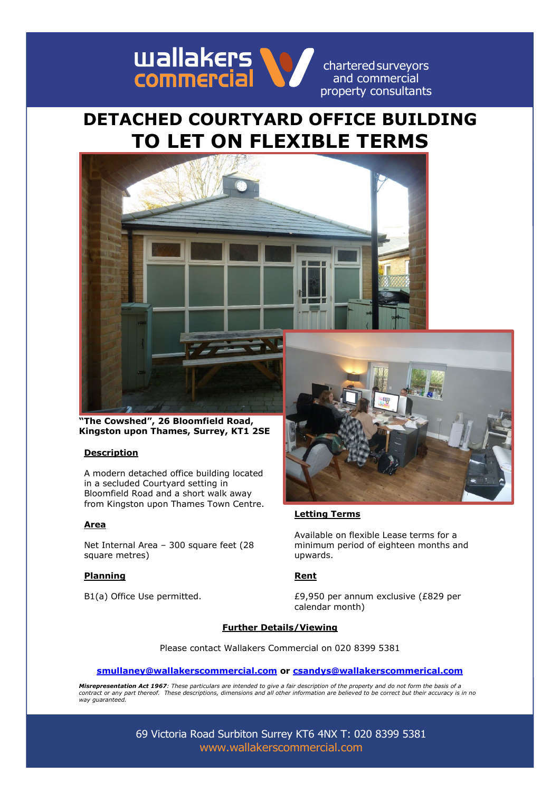

charteredsurveyors and commercial

# **DETACHED COURTYARD OFFICE BUILDING TO LET ON FLEXIBLE TERMS**



**"The Cowshed", 26 Bloomfield Road, Kingston upon Thames, Surrey, KT1 2SE**

### **Description**

A modern detached office building located in a secluded Courtyard setting in Bloomfield Road and a short walk away from Kingston upon Thames Town Centre.

### **Area**

Net Internal Area – 300 square feet (28 square metres)

### **Planning Rent**



### **Letting Terms**

Available on flexible Lease terms for a minimum period of eighteen months and upwards.

B1(a) Office Use permitted.  $£9,950$  per annum exclusive (£829 per calendar month)

### **Further Details/Viewing**

Please contact Wallakers Commercial on 020 8399 5381

### **[smullaney@wallakerscommercial.com](mailto:smullaney@wallakerscommercial.com) or [csandys@wallakerscommerical.com](mailto:csandys@wallakerscommerical.com)**

*Misrepresentation Act 1967: These particulars are intended to give a fair description of the property and do not form the basis of a contract or any part thereof. These descriptions, dimensions and all other information are believed to be correct but their accuracy is in no way guaranteed.*

> 69 Victoria Road Surbiton Surrey KT6 4NX T: 020 8399 5381 [www.wallakerscommercial.com](http://www.wallakerscommercial.com/)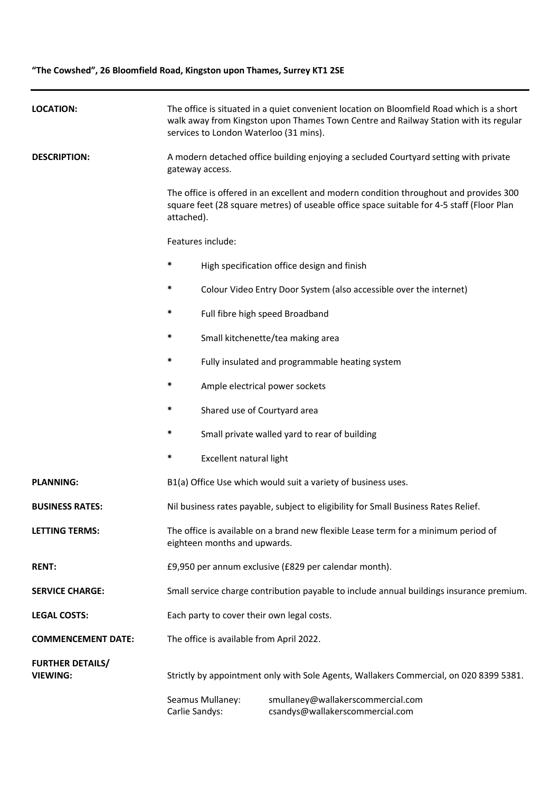## **"The Cowshed", 26 Bloomfield Road, Kingston upon Thames, Surrey KT1 2SE**

| <b>LOCATION:</b>                           | The office is situated in a quiet convenient location on Bloomfield Road which is a short<br>walk away from Kingston upon Thames Town Centre and Railway Station with its regular<br>services to London Waterloo (31 mins). |                                                                                                         |                                                                      |  |
|--------------------------------------------|-----------------------------------------------------------------------------------------------------------------------------------------------------------------------------------------------------------------------------|---------------------------------------------------------------------------------------------------------|----------------------------------------------------------------------|--|
| <b>DESCRIPTION:</b>                        |                                                                                                                                                                                                                             | A modern detached office building enjoying a secluded Courtyard setting with private<br>gateway access. |                                                                      |  |
|                                            | The office is offered in an excellent and modern condition throughout and provides 300<br>square feet (28 square metres) of useable office space suitable for 4-5 staff (Floor Plan<br>attached).                           |                                                                                                         |                                                                      |  |
|                                            |                                                                                                                                                                                                                             | Features include:                                                                                       |                                                                      |  |
|                                            | $\ast$                                                                                                                                                                                                                      |                                                                                                         | High specification office design and finish                          |  |
|                                            | $\ast$                                                                                                                                                                                                                      |                                                                                                         | Colour Video Entry Door System (also accessible over the internet)   |  |
|                                            | $\ast$                                                                                                                                                                                                                      | Full fibre high speed Broadband                                                                         |                                                                      |  |
|                                            | *                                                                                                                                                                                                                           |                                                                                                         | Small kitchenette/tea making area                                    |  |
|                                            | $\ast$                                                                                                                                                                                                                      |                                                                                                         | Fully insulated and programmable heating system                      |  |
|                                            | *                                                                                                                                                                                                                           | Ample electrical power sockets                                                                          |                                                                      |  |
|                                            | *                                                                                                                                                                                                                           | Shared use of Courtyard area                                                                            |                                                                      |  |
|                                            | *                                                                                                                                                                                                                           |                                                                                                         | Small private walled yard to rear of building                        |  |
|                                            | $\ast$                                                                                                                                                                                                                      | Excellent natural light                                                                                 |                                                                      |  |
| <b>PLANNING:</b>                           | B1(a) Office Use which would suit a variety of business uses.                                                                                                                                                               |                                                                                                         |                                                                      |  |
| <b>BUSINESS RATES:</b>                     | Nil business rates payable, subject to eligibility for Small Business Rates Relief.                                                                                                                                         |                                                                                                         |                                                                      |  |
| <b>LETTING TERMS:</b>                      | The office is available on a brand new flexible Lease term for a minimum period of<br>eighteen months and upwards.                                                                                                          |                                                                                                         |                                                                      |  |
| <b>RENT:</b>                               | £9,950 per annum exclusive (£829 per calendar month).                                                                                                                                                                       |                                                                                                         |                                                                      |  |
| <b>SERVICE CHARGE:</b>                     | Small service charge contribution payable to include annual buildings insurance premium.                                                                                                                                    |                                                                                                         |                                                                      |  |
| <b>LEGAL COSTS:</b>                        | Each party to cover their own legal costs.                                                                                                                                                                                  |                                                                                                         |                                                                      |  |
| <b>COMMENCEMENT DATE:</b>                  | The office is available from April 2022.                                                                                                                                                                                    |                                                                                                         |                                                                      |  |
| <b>FURTHER DETAILS/</b><br><b>VIEWING:</b> | Strictly by appointment only with Sole Agents, Wallakers Commercial, on 020 8399 5381.                                                                                                                                      |                                                                                                         |                                                                      |  |
|                                            | Carlie Sandys:                                                                                                                                                                                                              | Seamus Mullaney:                                                                                        | smullaney@wallakerscommercial.com<br>csandys@wallakerscommercial.com |  |